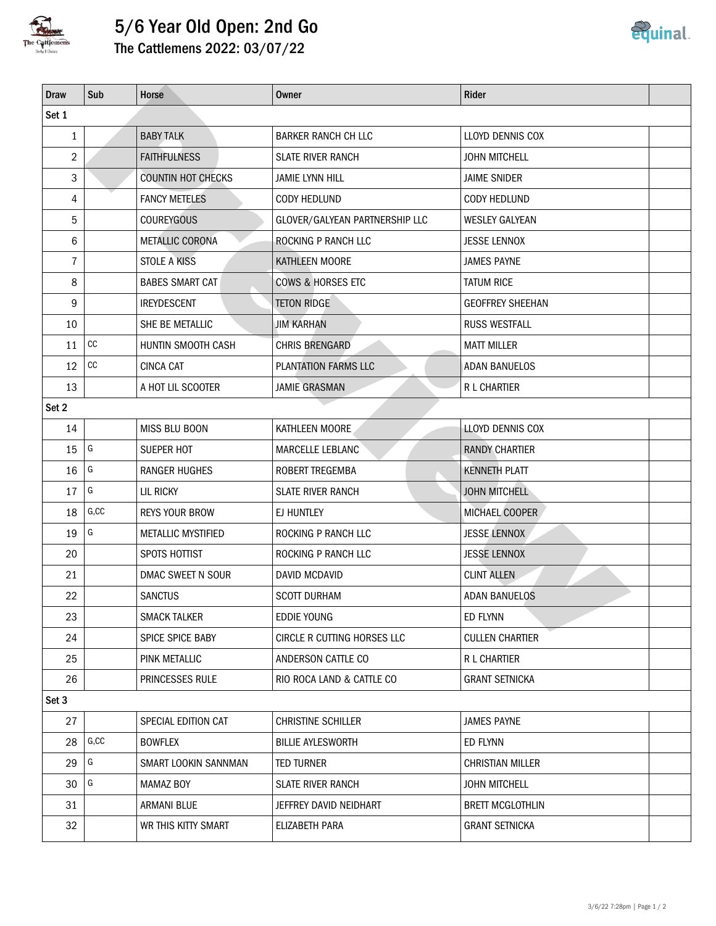

## 5/6 Year Old Open: 2nd Go

The Cattlemens 2022: 03/07/22

| <b>Draw</b>  | Sub               | Horse                     | <b>Owner</b>                   | Rider                   |  |  |  |  |  |  |
|--------------|-------------------|---------------------------|--------------------------------|-------------------------|--|--|--|--|--|--|
| Set 1        |                   |                           |                                |                         |  |  |  |  |  |  |
| $\mathbf{1}$ |                   | <b>BABY TALK</b>          | <b>BARKER RANCH CH LLC</b>     | LLOYD DENNIS COX        |  |  |  |  |  |  |
| 2            |                   | <b>FAITHFULNESS</b>       | <b>SLATE RIVER RANCH</b>       | <b>JOHN MITCHELL</b>    |  |  |  |  |  |  |
| 3            |                   | <b>COUNTIN HOT CHECKS</b> | <b>JAMIE LYNN HILL</b>         | <b>JAIME SNIDER</b>     |  |  |  |  |  |  |
| 4            |                   | <b>FANCY METELES</b>      | CODY HEDLUND                   | <b>CODY HEDLUND</b>     |  |  |  |  |  |  |
| 5            |                   | <b>COUREYGOUS</b>         | GLOVER/GALYEAN PARTNERSHIP LLC | <b>WESLEY GALYEAN</b>   |  |  |  |  |  |  |
| 6            |                   | <b>METALLIC CORONA</b>    | ROCKING P RANCH LLC            | <b>JESSE LENNOX</b>     |  |  |  |  |  |  |
| 7            |                   | <b>STOLE A KISS</b>       | KATHLEEN MOORE                 | <b>JAMES PAYNE</b>      |  |  |  |  |  |  |
| 8            |                   | <b>BABES SMART CAT</b>    | <b>COWS &amp; HORSES ETC</b>   | <b>TATUM RICE</b>       |  |  |  |  |  |  |
| 9            |                   | <b>IREYDESCENT</b>        | <b>TETON RIDGE</b>             | <b>GEOFFREY SHEEHAN</b> |  |  |  |  |  |  |
| 10           |                   | SHE BE METALLIC           | <b>JIM KARHAN</b>              | <b>RUSS WESTFALL</b>    |  |  |  |  |  |  |
| 11           | $\mathop{\rm CC}$ | HUNTIN SMOOTH CASH        | CHRIS BRENGARD                 | <b>MATT MILLER</b>      |  |  |  |  |  |  |
| 12           | $\mathop{\rm CC}$ | <b>CINCA CAT</b>          | PLANTATION FARMS LLC           | <b>ADAN BANUELOS</b>    |  |  |  |  |  |  |
| 13           |                   | A HOT LIL SCOOTER         | <b>JAMIE GRASMAN</b>           | R L CHARTIER            |  |  |  |  |  |  |
| Set 2        |                   |                           |                                |                         |  |  |  |  |  |  |
| 14           |                   | MISS BLU BOON             | KATHLEEN MOORE                 | <b>LLOYD DENNIS COX</b> |  |  |  |  |  |  |
| 15           | G                 | SUEPER HOT                | MARCELLE LEBLANC               | <b>RANDY CHARTIER</b>   |  |  |  |  |  |  |
| 16           | G                 | <b>RANGER HUGHES</b>      | ROBERT TREGEMBA                | <b>KENNETH PLATT</b>    |  |  |  |  |  |  |
| 17           | G                 | LIL RICKY                 | <b>SLATE RIVER RANCH</b>       | <b>JOHN MITCHELL</b>    |  |  |  |  |  |  |
| 18           | G, CC             | <b>REYS YOUR BROW</b>     | EJ HUNTLEY                     | MICHAEL COOPER          |  |  |  |  |  |  |
| 19           | G                 | <b>METALLIC MYSTIFIED</b> | ROCKING P RANCH LLC            | <b>JESSE LENNOX</b>     |  |  |  |  |  |  |
| 20           |                   | SPOTS HOTTIST             | ROCKING P RANCH LLC            | <b>JESSE LENNOX</b>     |  |  |  |  |  |  |
| 21           |                   | DMAC SWEET N SOUR         | DAVID MCDAVID                  | <b>CLINT ALLEN</b>      |  |  |  |  |  |  |
| 22           |                   | <b>SANCTUS</b>            | <b>SCOTT DURHAM</b>            | <b>ADAN BANUELOS</b>    |  |  |  |  |  |  |
| 23           |                   | <b>SMACK TALKER</b>       | <b>EDDIE YOUNG</b>             | ED FLYNN                |  |  |  |  |  |  |
| 24           |                   | SPICE SPICE BABY          | CIRCLE R CUTTING HORSES LLC    | <b>CULLEN CHARTIER</b>  |  |  |  |  |  |  |
| 25           |                   | PINK METALLIC             | ANDERSON CATTLE CO             | R L CHARTIER            |  |  |  |  |  |  |
| 26           |                   | PRINCESSES RULE           | RIO ROCA LAND & CATTLE CO      | <b>GRANT SETNICKA</b>   |  |  |  |  |  |  |
| Set 3        |                   |                           |                                |                         |  |  |  |  |  |  |
| 27           |                   | SPECIAL EDITION CAT       | CHRISTINE SCHILLER             | <b>JAMES PAYNE</b>      |  |  |  |  |  |  |
| 28           | G, CC             | <b>BOWFLEX</b>            | <b>BILLIE AYLESWORTH</b>       | ED FLYNN                |  |  |  |  |  |  |
| 29           | G                 | SMART LOOKIN SANNMAN      | <b>TED TURNER</b>              | <b>CHRISTIAN MILLER</b> |  |  |  |  |  |  |
| 30           | G                 | <b>MAMAZ BOY</b>          | <b>SLATE RIVER RANCH</b>       | <b>JOHN MITCHELL</b>    |  |  |  |  |  |  |
| 31           |                   | <b>ARMANI BLUE</b>        | JEFFREY DAVID NEIDHART         | <b>BRETT MCGLOTHLIN</b> |  |  |  |  |  |  |
| 32           |                   | WR THIS KITTY SMART       | ELIZABETH PARA                 | <b>GRANT SETNICKA</b>   |  |  |  |  |  |  |
|              |                   |                           |                                |                         |  |  |  |  |  |  |

<u>equinal</u>